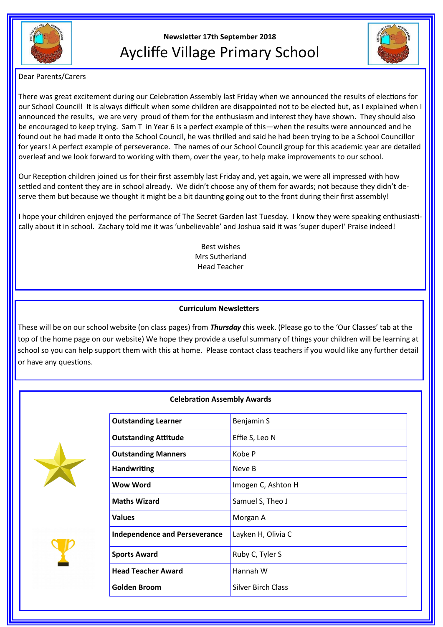

# **Newsletter 17th September 2018** Aycliffe Village Primary School



Dear Parents/Carers

There was great excitement during our Celebration Assembly last Friday when we announced the results of elections for our School Council! It is always difficult when some children are disappointed not to be elected but, as I explained when I announced the results, we are very proud of them for the enthusiasm and interest they have shown. They should also be encouraged to keep trying. Sam T in Year 6 is a perfect example of this—when the results were announced and he found out he had made it onto the School Council, he was thrilled and said he had been trying to be a School Councillor for years! A perfect example of perseverance. The names of our School Council group for this academic year are detailed overleaf and we look forward to working with them, over the year, to help make improvements to our school.

Our Reception children joined us for their first assembly last Friday and, yet again, we were all impressed with how settled and content they are in school already. We didn't choose any of them for awards; not because they didn't deserve them but because we thought it might be a bit daunting going out to the front during their first assembly!

I hope your children enjoyed the performance of The Secret Garden last Tuesday. I know they were speaking enthusiastically about it in school. Zachary told me it was 'unbelievable' and Joshua said it was 'super duper!' Praise indeed!

> Best wishes Mrs Sutherland Head Teacher

# **Curriculum Newsletters**

These will be on our school website (on class pages) from *Thursday t*his week. (Please go to the 'Our Classes' tab at the top of the home page on our website) We hope they provide a useful summary of things your children will be learning at school so you can help support them with this at home. Please contact class teachers if you would like any further detail or have any questions.

# **Celebration Assembly Awards**





| <b>Outstanding Learner</b>           | Benjamin S                |
|--------------------------------------|---------------------------|
| <b>Outstanding Attitude</b>          | Effie S, Leo N            |
| <b>Outstanding Manners</b>           | Kobe P                    |
| <b>Handwriting</b>                   | Neve B                    |
| <b>Wow Word</b>                      | Imogen C, Ashton H        |
| <b>Maths Wizard</b>                  | Samuel S, Theo J          |
| <b>Values</b>                        | Morgan A                  |
| <b>Independence and Perseverance</b> | Layken H, Olivia C        |
| <b>Sports Award</b>                  | Ruby C, Tyler S           |
| <b>Head Teacher Award</b>            | Hannah W                  |
| Golden Broom                         | <b>Silver Birch Class</b> |
|                                      |                           |